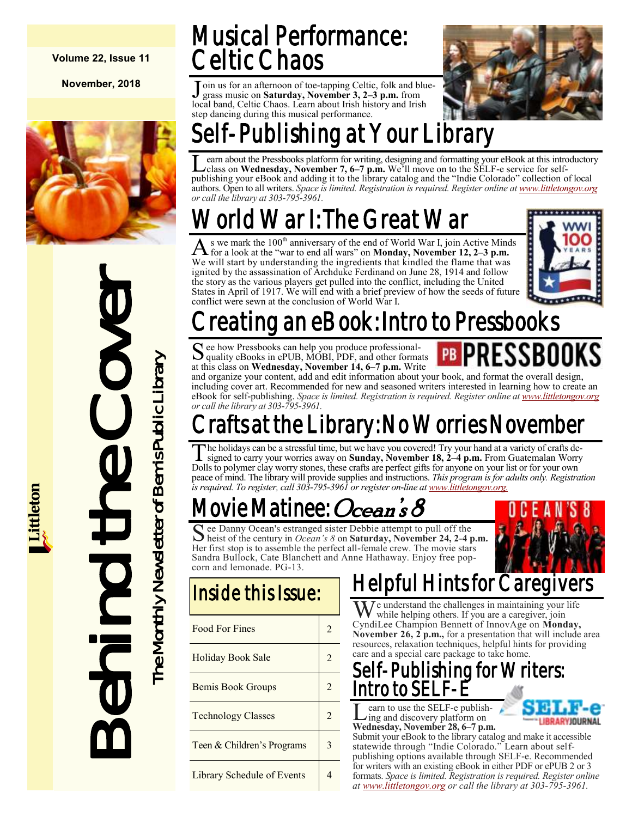**Volume 22, Issue 11**

**November, 2018**



# Behind the Cover The Monthly Newsletter of Bemis Public Library The Monthly Newsletter of Bemis Public Library

## Musical Performance: Celtic Chaos

Join us for an afternoon of toe-tapping Celtic, folk and blue-<br>grass music on **Saturday**, November 3, 2–3 p.m. from grass music on **Saturday, November 3, 2–3 p.m.** from local band, Celtic Chaos. Learn about Irish history and Irish step dancing during this musical performance.



# ublishing at Your Library'

Learn about the Pressbooks platform for writing, designing and formatting your eBook at this introductor<br>class on Wednesday, November 7, 6–7 p.m. We'll move on to the SELF-e service for self-<br>publishing your eBook and addi earn about the Pressbooks platform for writing, designing and formatting your eBook at this introductory class on **Wednesday, November 7, 6–7 p.m.** We'll move on to the SELF-e service for selfauthors. Open to all writers. *Space is limited. Registration is required. Register online at [www.littletongov.org](https://www.littletongov.org/city-services/city-departments/bemis-library/library-events-calendar/-curm-11/-cury-2018/-selcat-157) or call the library at 303-795-3961.*

# World War I: The Great War

A s we mark the 100<sup>th</sup> anniversary of the end of World War I, join Active Mind for a look at the "war to end all wars" on **Monday, November 12, 2–3 p.m.** s we mark the  $100<sup>th</sup>$  anniversary of the end of World War I, join Active Minds We will start by understanding the ingredients that kindled the flame that was ignited by the assassination of Archduke Ferdinand on June 28, 1914 and follow the story as the various players get pulled into the conflict, including the United States in April of 1917. We will end with a brief preview of how the seeds of future conflict were sewn at the conclusion of World War I.



## eating an eBook: Intro to Pressbooks<sup>.</sup>

S ee how Pressbooks can help you produce professional-<br>Squality eBooks in ePUB, MOBI, PDF, and other formal quality eBooks in ePUB, MOBI, PDF, and other formats at this class on **Wednesday, November 14, 6–7 p.m.** Write

and organize your content, add and edit information about your book, and format the overall design, including cover art. Recommended for new and seasoned writers interested in learning how to create an eBook for self-publishing. *Space is limited. Registration is required. Register online at [www.littletongov.org](https://www.littletongov.org/city-services/city-departments/bemis-library/library-events-calendar/-curm-11/-cury-2018/-selcat-157) or call the library at 303-795-3961.*

## rafts at the Library: No Worries November

 $\overline{\mathrm{T}}$ he holidays can be a stressful time, but we have you covered! Try your hand at a variety of crafts designed to carry your worries away on **Sunday, November 18, 2–4 p.m.** From Guatemalan Worry Dolls to polymer clay worry stones, these crafts are perfect gifts for anyone on your list or for your own peace of mind. The library will provide supplies and instructions. *This program is for adults only. Registration is required. To register, call 303-795-3961 or register on-line at [www.littletongov.org.](https://www.littletongov.org/city-services/city-departments/bemis-library/library-events-calendar/-curm-10/-cury-2018)* 

# 'ie Matinee: *Ocean's 8*

See Danny Ocean's estranged sister Debbie attempt to pull off the<br>heist of the century in *Ocean's 8* on **Saturday**, November 24, 2-4 p heist of the century in *Ocean's 8* on **Saturday, November 24, 2-4 p.m.** Her first stop is to assemble the perfect all-female crew. The movie stars Sandra Bullock, Cate Blanchett and Anne Hathaway. Enjoy free popcorn and lemonade. PG-13.



#### Inside this Issue:

| <b>Food For Fines</b>      | 2 |
|----------------------------|---|
| Holiday Book Sale          | 2 |
| <b>Bemis Book Groups</b>   |   |
| <b>Technology Classes</b>  |   |
| Teen & Children's Programs |   |
| Library Schedule of Events |   |

## Helpful Hints for Cared

We understand the challenges in maintaining your life while helping others. If you are a caregiver, join CyndiLee Champion Bennett of InnovAge on **Monday, November 26, 2 p.m.,** for a presentation that will include area resources, relaxation techniques, helpful hints for providing care and a special care package to take home.

#### Self-Publishing for Writers: Intro to SELF-E

**L**earn to use the SELF-e publish-<br>ing and discovery platform on<br>Wednesday, November 28, 6–7 p.m. earn to use the SELF-e publishing and discovery platform on



Submit your eBook to the library catalog and make it accessible statewide through "Indie Colorado." Learn about selfpublishing options available through SELF-e. Recommended for writers with an existing eBook in either PDF or ePUB 2 or 3 formats. *Space is limited. Registration is required. Register online at [www.littletongov.org](https://www.littletongov.org/city-services/city-departments/bemis-library/library-events-calendar/-curm-11/-cury-2018/-selcat-157) or call the library at 303-795-3961.*

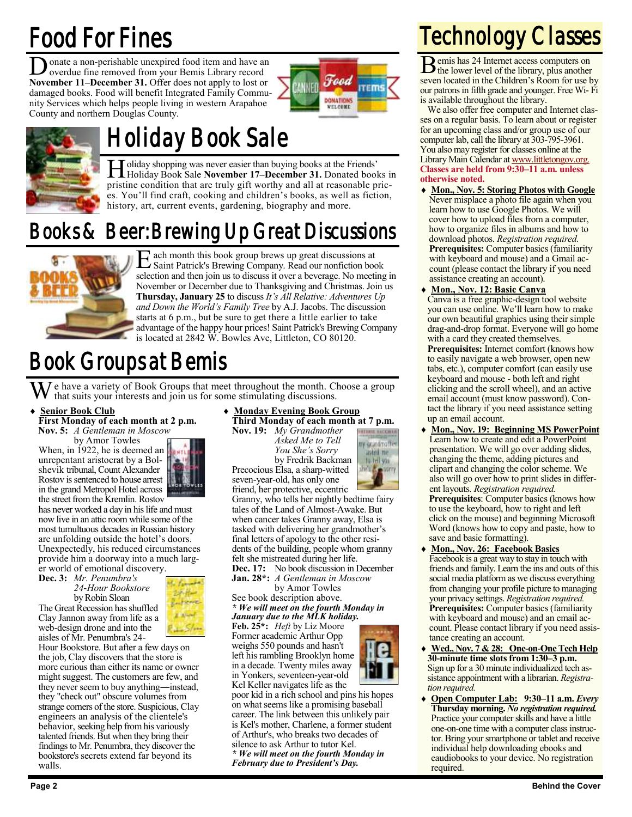## Food For Fines

**D** onate a non-perishable unexpired food item and have an overdue fine removed from your Bemis Library record overdue fine removed from your Bemis Library record **November 11–December 31.** Offer does not apply to lost or damaged books. Food will benefit Integrated Family Community Services which helps people living in western Arapahoe County and northern Douglas County.





## Holiday Book Sale

Holiday shopping was never easier than buying books at the Friends'<br>Holiday Book Sale **November 17–December 31.** Donated books in oliday shopping was never easier than buying books at the Friends' pristine condition that are truly gift worthy and all at reasonable prices. You'll find craft, cooking and children's books, as well as fiction, history, art, current events, gardening, biography and more.

### Books & Beer: Brewing Up Great Discussions



E ach month this book group brews up great discussions at Saint Patrick's Brewing Company. Read our nonfiction book selection and then join us to discuss it over a beverage. No meeting in November or December due to Thanksgiving and Christmas. Join us **Thursday, January 25** to discuss *It's All Relative: Adventures Up and Down the World's Family Tree* by A.J. Jacobs. The discussion starts at 6 p.m., but be sure to get there a little earlier to take advantage of the happy hour prices! Saint Patrick's Brewing Company is located at 2842 W. Bowles Ave, Littleton, CO 80120.

## Book Groups at Bemis

We have a variety of Book Groups that meet throughout the month. Choose a group that suits your interests and join us for some stimulating discussions.

#### **Senior Book Club**

**First Monday of each month at 2 p.m. Nov. 5:** *A Gentleman in Moscow*

by Amor Towles When, in 1922, he is deemed an unrepentant aristocrat by a Bolshevik tribunal, Count Alexander Rostov is sentenced to house arrest in the grand Metropol Hotel across

the street from the Kremlin. Rostov has never worked a day in his life and must now live in an attic room while some of the most tumultuous decades in Russian history are unfolding outside the hotel's doors. Unexpectedly, his reduced circumstances provide him a doorway into a much larg-

er world of emotional discovery. **Dec. 3:** *Mr. Penumbra's 24-Hour Bookstore*

by Robin Sloan The Great Recession has shuffled Clay Jannon away from life as a web-design drone and into the aisles of Mr. Penumbra's 24-



Hour Bookstore. But after a few days on the job, Clay discovers that the store is more curious than either its name or owner might suggest. The customers are few, and they never seem to buy anything―instead, they "check out" obscure volumes from strange corners of the store. Suspicious, Clay engineers an analysis of the clientele's behavior, seeking help from his variously talented friends. But when they bring their findings to Mr. Penumbra, they discover the bookstore's secrets extend far beyond its walls.

#### **Monday Evening Book Group Third Monday of each month at 7 p.m.**

**Nov. 19:** *My Grandmother Asked Me to Tell You She's Sorry* by Fredrik Backman

my grandmaffie

wm

usked me<br>In tell yas **SWEA** Precocious Elsa, a sharp-witted seven-year-old, has only one friend, her protective, eccentric Granny, who tells her nightly bedtime fairy tales of the Land of Almost-Awake. But when cancer takes Granny away, Elsa is tasked with delivering her grandmother's

final letters of apology to the other residents of the building, people whom granny felt she mistreated during her life.

*\* We will meet on the fourth Monday in*

**Feb. 25\*:** *Heft* by Liz Moore Former academic Arthur Opp weighs 550 pounds and hasn't in Yonkers, seventeen-year-old

poor kid in a rich school and pins his hopes on what seems like a promising baseball career. The link between this unlikely pair is Kel's mother, Charlene, a former student of Arthur's, who breaks two decades of silence to ask Arthur to tutor Kel. *\* We will meet on the fourth Monday in February due to President's Day.*

## Technology Classes

B emis has 24 Internet access computers on the lower level of the library, plus another seven located in the Children's Room for use by our patrons in fifth grade and younger. Free Wi- Fi is available throughout the library.

We also offer free computer and Internet classes on a regular basis. To learn about or register for an upcoming class and/or group use of our computer lab, call the library at 303-795-3961. You also may register for classes online at the Library Main Calendar at [www.littletongov.org.](https://www.littletongov.org/city-services/city-departments/bemis-library/library-events-calendar/-curm-10/-cury-2018/-selcat-157) **Classes are held from 9:30–11 a.m. unless otherwise noted.**

- **Mon., Nov. 5: Storing Photos with Google** Never misplace a photo file again when you learn how to use Google Photos. We will cover how to upload files from a computer, how to organize files in albums and how to download photos. *Registration required.* **Prerequisites:** Computer basics (familiarity with keyboard and mouse) and a Gmail account (please contact the library if you need assistance creating an account).
- **Mon., Nov. 12: Basic Canva**

Canva is a free graphic-design tool website you can use online. We'll learn how to make our own beautiful graphics using their simple drag-and-drop format. Everyone will go home with a card they created themselves. **Prerequisites:** Internet comfort (knows how to easily navigate a web browser, open new tabs, etc.), computer comfort (can easily use keyboard and mouse - both left and right clicking and the scroll wheel), and an active email account (must know password). Contact the library if you need assistance setting up an email account.

- **Mon., Nov. 19: Beginning MS PowerPoint** Learn how to create and edit a PowerPoint presentation. We will go over adding slides, changing the theme, adding pictures and clipart and changing the color scheme. We also will go over how to print slides in different layouts. *Registration required.* **Prerequisites**: Computer basics (knows how to use the keyboard, how to right and left click on the mouse) and beginning Microsoft Word (knows how to copy and paste, how to save and basic formatting).
- **Mon., Nov. 26: Facebook Basics** Facebook is a great way to stay in touch with friends and family. Learn the ins and outs of this social media platform as we discuss everything from changing your profile picture to managing your privacy settings. *Registration required.* **Prerequisites:** Computer basics (familiarity with keyboard and mouse) and an email account. Please contact library if you need assistance creating an account.
- **Wed., Nov. 7 & 28: One-on-One Tech Help 30-minute time slots from 1:30–3 p.m.** Sign up for a 30 minute individualized tech assistance appointment with a librarian. *Registration required.*
- **Open Computer Lab: 9:30–11 a.m.** *Every* **Thursday morning.** *No registration required.*  Practice your computer skills and have a little one-on-one time with a computer class instructor. Bring your smartphone or tablet and receive individual help downloading ebooks and eaudiobooks to your device. No registration required.



**Dec. 17:** No book discussion in December **Jan. 28\*:** *A Gentleman in Moscow*

by Amor Towles

See book description above. *January due to the MLK holiday.*

left his rambling Brooklyn home in a decade. Twenty miles away

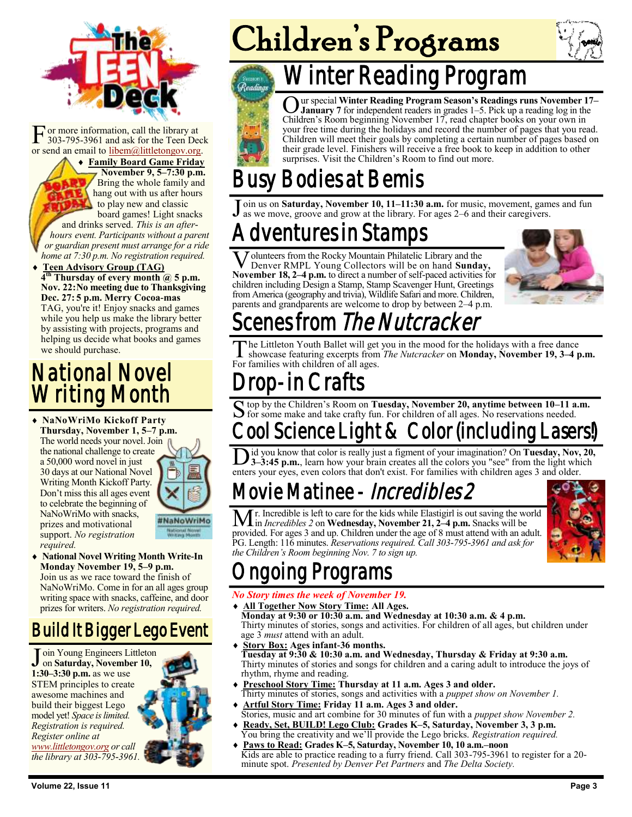

F or more information, call the library at 303-795-3961 and ask for the Teen Deck or send an email to [libem@littletongov.org.](mailto:libem@littletongov.org.)

 **Family Board Game Friday November 9, 5–7:30 p.m.** Bring the whole family and hang out with us after hours to play new and classic board games! Light snacks and drinks served. *This is an afterhours event. Participants without a parent or guardian present must arrange for a ride home at 7:30 p.m. No registration required.*

 **Teen Advisory Group (TAG) 4 th Thursday of every month @ 5 p.m. Nov. 22:No meeting due to Thanksgiving Dec. 27: 5 p.m. Merry Cocoa-mas** TAG, you're it! Enjoy snacks and games while you help us make the library better by assisting with projects, programs and helping us decide what books and games we should purchase.

### National Novel Writing Month

 **NaNoWriMo Kickoff Party Thursday, November 1, 5–7 p.m.** The world needs your novel. Join the national challenge to create a 50,000 word novel in just 30 days at our National Novel Writing Month Kickoff Party. Don't miss this all ages event to celebrate the beginning of NaNoWriMo with snacks, #NaNoWriMo prizes and motivational support. *No registration required.*

 **National Novel Writing Month Write-In Monday November 19, 5–9 p.m.** Join us as we race toward the finish of NaNoWriMo. Come in for an all ages group writing space with snacks, caffeine, and door prizes for writers. *No registration required.*

#### Build It Bigger Lego Event

Join Young Engineers Li<br>
1:30–3:30 p.m. as we use oin Young Engineers Littleton on **Saturday, November 10,**  STEM principles to create awesome machines and build their biggest Lego model yet! *Space is limited. Registration is required. Register online at [www.littletongov.org](https://www.littletongov.org/city-services/city-departments/bemis-library/library-events-calendar/-curm-11/-cury-2018/-selcat-97) or call the library at 303-795-3961.*



# Children's Programs



## Winter Reading Program

**O** ur special Winter Reading Program Season's Readings runs November 1 January 7 for independent readers in grades 1–5. Pick up a reading log in the Children's Room beginning November 17, read chapter books on your own in ur special **Winter Reading Program Season's Readings runs November 17– January 7** for independent readers in grades 1–5. Pick up a reading log in the your free time during the holidays and record the number of pages that you read. Children will meet their goals by completing a certain number of pages based on their grade level. Finishers will receive a free book to keep in addition to other surprises. Visit the Children's Room to find out more.

## Bodies at Bemis

J oin us on **Saturday, November 10, 11–11:30 a.m.** for music, movement, games and fun as we move, groove and grow at the library. For ages 2–6 and their caregivers.

## ventures in Stamps

**V** olunteers from the Rocky Mountain Philatelic Library and the Denver RMPL Young Collectors will be on hand **Sunday**, November 18, 2–4 p.m. to direct a number of self-paced activities for olunteers from the Rocky Mountain Philatelic Library and the Denver RMPL Young Collectors will be on hand **Sunday,** children including Design a Stamp, Stamp Scavenger Hunt, Greetings from America (geography and trivia), Wildlife Safari and more. Children, parents and grandparents are welcome to drop by between 2–4 p.m.



## enes from The Nutcracker

The Littleton Youth Ballet will get<br>For families with children of all ages. he Littleton Youth Ballet will get you in the mood for the holidays with a free dance showcase featuring excerpts from *The Nutcracker* on **Monday, November 19, 3–4 p.m.** 

## op-in Crafts

S top by the Children's Room on Tuesday, November 20, anytime between 10-11 a<br>S for some make and take crafty fun. For children of all ages. No reservations needed. top by the Children's Room on **Tuesday, November 20, anytime between 10–11 a.m.** 

## ool Science Light & Color (including Lasers

Did you know that color is really just a figment of your imagination? On Tuesday, Nov, 3-3:45 p.m., learn how your brain creates all the colors you "see" from the light whenters your eyes, even colors that don't exist. For id you know that color is really just a figment of your imagination? On **Tuesday, Nov, 20, 3–3:45 p.m.**, learn how your brain creates all the colors you "see" from the light which

## Movie Matinee - *Incredibles 2*

r. Incredible is left to care for the kids while Elastigirl is out saving the world in *Incredibles 2* on **Wednesday, November 21, 2–4 p.m.** Snacks will be provided. For ages 3 and up. Children under the age of 8 must attend with an adult. PG. Length: 116 minutes. *Reservations required. Call 303-795-3961 and ask for the Children's Room beginning Nov. 7 to sign up.*



## oing Programs

#### *No Story times the week of November 19.*

- **All Together Now Story Time: All Ages. Monday at 9:30 or 10:30 a.m. and Wednesday at 10:30 a.m. & 4 p.m.** Thirty minutes of stories, songs and activities. For children of all ages, but children under age 3 *must* attend with an adult.
- **Story Box: Ages infant-36 months. Tuesday at 9:30 & 10:30 a.m. and Wednesday, Thursday & Friday at 9:30 a.m.** Thirty minutes of stories and songs for children and a caring adult to introduce the joys of rhythm, rhyme and reading.
- **Preschool Story Time: Thursday at 11 a.m. Ages 3 and older.** Thirty minutes of stories, songs and activities with a *puppet show on November 1.*
- **Artful Story Time: Friday 11 a.m. Ages 3 and older.** Stories, music and art combine for 30 minutes of fun with a *puppet show November 2.*
- **Ready, Set, BUILD! Lego Club: Grades K–5, Saturday, November 3, 3 p.m.** You bring the creativity and we'll provide the Lego bricks. *Registration required.*
- **Paws to Read: Grades K–5, Saturday, November 10, 10 a.m.–noon** Kids are able to practice reading to a furry friend. Call 303-795-3961 to register for a 20 minute spot. *Presented by Denver Pet Partners* and *The Delta Society.*